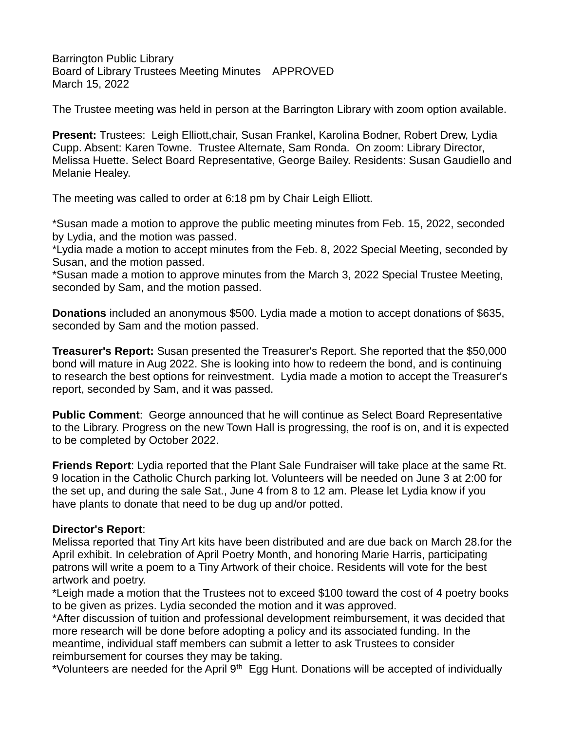Barrington Public Library Board of Library Trustees Meeting Minutes APPROVED March 15, 2022

The Trustee meeting was held in person at the Barrington Library with zoom option available.

**Present:** Trustees: Leigh Elliott,chair, Susan Frankel, Karolina Bodner, Robert Drew, Lydia Cupp. Absent: Karen Towne. Trustee Alternate, Sam Ronda. On zoom: Library Director, Melissa Huette. Select Board Representative, George Bailey. Residents: Susan Gaudiello and Melanie Healey.

The meeting was called to order at 6:18 pm by Chair Leigh Elliott.

\*Susan made a motion to approve the public meeting minutes from Feb. 15, 2022, seconded by Lydia, and the motion was passed.

\*Lydia made a motion to accept minutes from the Feb. 8, 2022 Special Meeting, seconded by Susan, and the motion passed.

\*Susan made a motion to approve minutes from the March 3, 2022 Special Trustee Meeting, seconded by Sam, and the motion passed.

**Donations** included an anonymous \$500. Lydia made a motion to accept donations of \$635, seconded by Sam and the motion passed.

**Treasurer's Report:** Susan presented the Treasurer's Report. She reported that the \$50,000 bond will mature in Aug 2022. She is looking into how to redeem the bond, and is continuing to research the best options for reinvestment. Lydia made a motion to accept the Treasurer's report, seconded by Sam, and it was passed.

**Public Comment**: George announced that he will continue as Select Board Representative to the Library. Progress on the new Town Hall is progressing, the roof is on, and it is expected to be completed by October 2022.

**Friends Report**: Lydia reported that the Plant Sale Fundraiser will take place at the same Rt. 9 location in the Catholic Church parking lot. Volunteers will be needed on June 3 at 2:00 for the set up, and during the sale Sat., June 4 from 8 to 12 am. Please let Lydia know if you have plants to donate that need to be dug up and/or potted.

## **Director's Report**:

Melissa reported that Tiny Art kits have been distributed and are due back on March 28.for the April exhibit. In celebration of April Poetry Month, and honoring Marie Harris, participating patrons will write a poem to a Tiny Artwork of their choice. Residents will vote for the best artwork and poetry.

\*Leigh made a motion that the Trustees not to exceed \$100 toward the cost of 4 poetry books to be given as prizes. Lydia seconded the motion and it was approved.

\*After discussion of tuition and professional development reimbursement, it was decided that more research will be done before adopting a policy and its associated funding. In the meantime, individual staff members can submit a letter to ask Trustees to consider reimbursement for courses they may be taking.

\*Volunteers are needed for the April 9<sup>th</sup> Egg Hunt. Donations will be accepted of individually